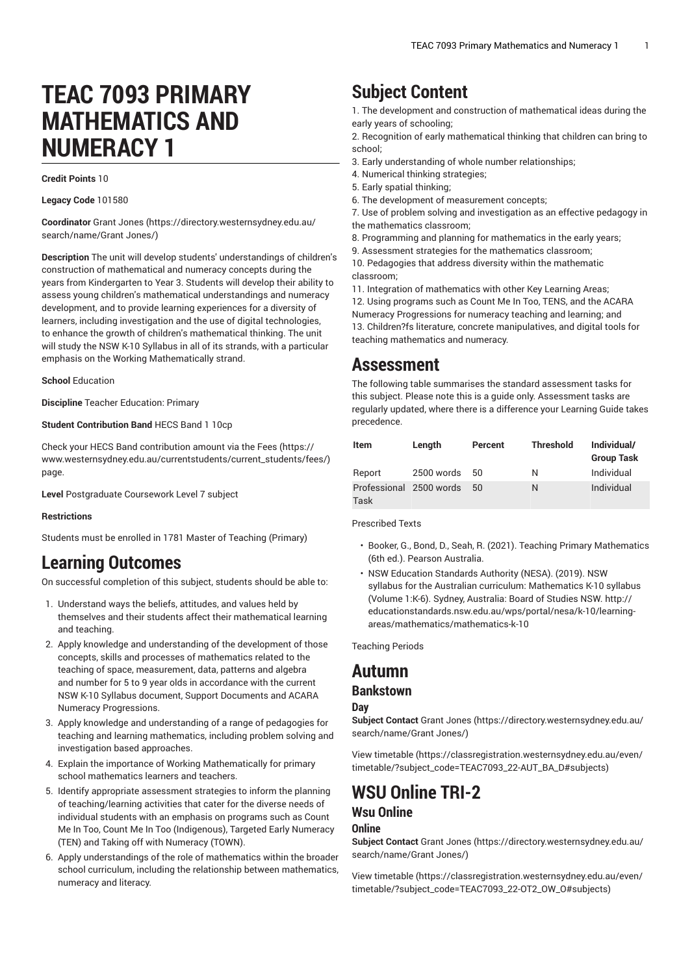# **TEAC 7093 PRIMARY MATHEMATICS AND NUMERACY 1**

**Credit Points** 10

**Legacy Code** 101580

**Coordinator** [Grant Jones](https://directory.westernsydney.edu.au/search/name/Grant Jones/) ([https://directory.westernsydney.edu.au/](https://directory.westernsydney.edu.au/search/name/Grant Jones/) [search/name/Grant](https://directory.westernsydney.edu.au/search/name/Grant Jones/) Jones/)

**Description** The unit will develop students' understandings of children's construction of mathematical and numeracy concepts during the years from Kindergarten to Year 3. Students will develop their ability to assess young children's mathematical understandings and numeracy development, and to provide learning experiences for a diversity of learners, including investigation and the use of digital technologies, to enhance the growth of children's mathematical thinking. The unit will study the NSW K-10 Syllabus in all of its strands, with a particular emphasis on the Working Mathematically strand.

**School** Education

**Discipline** Teacher Education: Primary

**Student Contribution Band** HECS Band 1 10cp

Check your HECS Band contribution amount via the [Fees \(https://](https://www.westernsydney.edu.au/currentstudents/current_students/fees/) [www.westernsydney.edu.au/currentstudents/current\\_students/fees/\)](https://www.westernsydney.edu.au/currentstudents/current_students/fees/) page.

**Level** Postgraduate Coursework Level 7 subject

#### **Restrictions**

Students must be enrolled in 1781 Master of Teaching (Primary)

# **Learning Outcomes**

On successful completion of this subject, students should be able to:

- 1. Understand ways the beliefs, attitudes, and values held by themselves and their students affect their mathematical learning and teaching.
- 2. Apply knowledge and understanding of the development of those concepts, skills and processes of mathematics related to the teaching of space, measurement, data, patterns and algebra and number for 5 to 9 year olds in accordance with the current NSW K-10 Syllabus document, Support Documents and ACARA Numeracy Progressions.
- 3. Apply knowledge and understanding of a range of pedagogies for teaching and learning mathematics, including problem solving and investigation based approaches.
- 4. Explain the importance of Working Mathematically for primary school mathematics learners and teachers.
- 5. Identify appropriate assessment strategies to inform the planning of teaching/learning activities that cater for the diverse needs of individual students with an emphasis on programs such as Count Me In Too, Count Me In Too (Indigenous), Targeted Early Numeracy (TEN) and Taking off with Numeracy (TOWN).
- 6. Apply understandings of the role of mathematics within the broader school curriculum, including the relationship between mathematics, numeracy and literacy.

# **Subject Content**

1. The development and construction of mathematical ideas during the early years of schooling;

2. Recognition of early mathematical thinking that children can bring to school;

- 3. Early understanding of whole number relationships;
- 4. Numerical thinking strategies;
- 5. Early spatial thinking;
- 6. The development of measurement concepts;

7. Use of problem solving and investigation as an effective pedagogy in the mathematics classroom;

8. Programming and planning for mathematics in the early years;

9. Assessment strategies for the mathematics classroom;

10. Pedagogies that address diversity within the mathematic classroom;

11. Integration of mathematics with other Key Learning Areas;

12. Using programs such as Count Me In Too, TENS, and the ACARA Numeracy Progressions for numeracy teaching and learning; and 13. Children?fs literature, concrete manipulatives, and digital tools for teaching mathematics and numeracy.

## **Assessment**

The following table summarises the standard assessment tasks for this subject. Please note this is a guide only. Assessment tasks are regularly updated, where there is a difference your Learning Guide takes precedence.

| Item                            | Length     | Percent | <b>Threshold</b> | Individual/<br><b>Group Task</b> |
|---------------------------------|------------|---------|------------------|----------------------------------|
| Report                          | 2500 words | 50      | Ν                | Individual                       |
| Professional 2500 words<br>Task |            | 50      | N                | Individual                       |

Prescribed Texts

- Booker, G., Bond, D., Seah, R. (2021). Teaching Primary Mathematics (6th ed.). Pearson Australia.
- NSW Education Standards Authority (NESA). (2019). NSW syllabus for the Australian curriculum: Mathematics K-10 syllabus (Volume 1:K-6). Sydney, Australia: Board of Studies NSW. http:// educationstandards.nsw.edu.au/wps/portal/nesa/k-10/learningareas/mathematics/mathematics-k-10

Teaching Periods

## **Autumn**

#### **Bankstown**

#### **Day**

**Subject Contact** [Grant Jones](https://directory.westernsydney.edu.au/search/name/Grant Jones/) [\(https://directory.westernsydney.edu.au/](https://directory.westernsydney.edu.au/search/name/Grant Jones/) [search/name/Grant](https://directory.westernsydney.edu.au/search/name/Grant Jones/) Jones/)

[View timetable](https://classregistration.westernsydney.edu.au/even/timetable/?subject_code=TEAC7093_22-AUT_BA_D#subjects) [\(https://classregistration.westernsydney.edu.au/even/](https://classregistration.westernsydney.edu.au/even/timetable/?subject_code=TEAC7093_22-AUT_BA_D#subjects) [timetable/?subject\\_code=TEAC7093\\_22-AUT\\_BA\\_D#subjects\)](https://classregistration.westernsydney.edu.au/even/timetable/?subject_code=TEAC7093_22-AUT_BA_D#subjects)

### **WSU Online TRI-2 Wsu Online Online**

**Subject Contact** [Grant Jones](https://directory.westernsydney.edu.au/search/name/Grant Jones/) [\(https://directory.westernsydney.edu.au/](https://directory.westernsydney.edu.au/search/name/Grant Jones/) [search/name/Grant](https://directory.westernsydney.edu.au/search/name/Grant Jones/) Jones/)

[View timetable](https://classregistration.westernsydney.edu.au/even/timetable/?subject_code=TEAC7093_22-OT2_OW_O#subjects) [\(https://classregistration.westernsydney.edu.au/even/](https://classregistration.westernsydney.edu.au/even/timetable/?subject_code=TEAC7093_22-OT2_OW_O#subjects) [timetable/?subject\\_code=TEAC7093\\_22-OT2\\_OW\\_O#subjects](https://classregistration.westernsydney.edu.au/even/timetable/?subject_code=TEAC7093_22-OT2_OW_O#subjects))